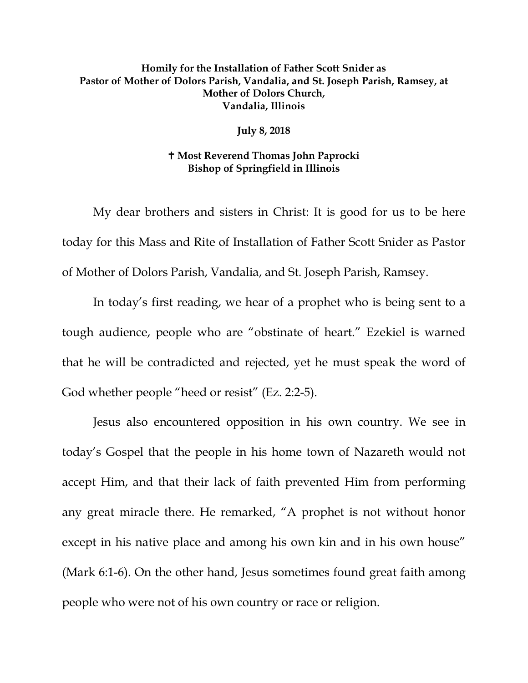## **Homily for the Installation of Father Scott Snider as Pastor of Mother of Dolors Parish, Vandalia, and St. Joseph Parish, Ramsey, at Mother of Dolors Church, Vandalia, Illinois**

**July 8, 2018**

## **Most Reverend Thomas John Paprocki Bishop of Springfield in Illinois**

My dear brothers and sisters in Christ: It is good for us to be here today for this Mass and Rite of Installation of Father Scott Snider as Pastor of Mother of Dolors Parish, Vandalia, and St. Joseph Parish, Ramsey.

In today's first reading, we hear of a prophet who is being sent to a tough audience, people who are "obstinate of heart." Ezekiel is warned that he will be contradicted and rejected, yet he must speak the word of God whether people "heed or resist" (Ez. 2:2-5).

Jesus also encountered opposition in his own country. We see in today's Gospel that the people in his home town of Nazareth would not accept Him, and that their lack of faith prevented Him from performing any great miracle there. He remarked, "A prophet is not without honor except in his native place and among his own kin and in his own house" (Mark 6:1-6). On the other hand, Jesus sometimes found great faith among people who were not of his own country or race or religion.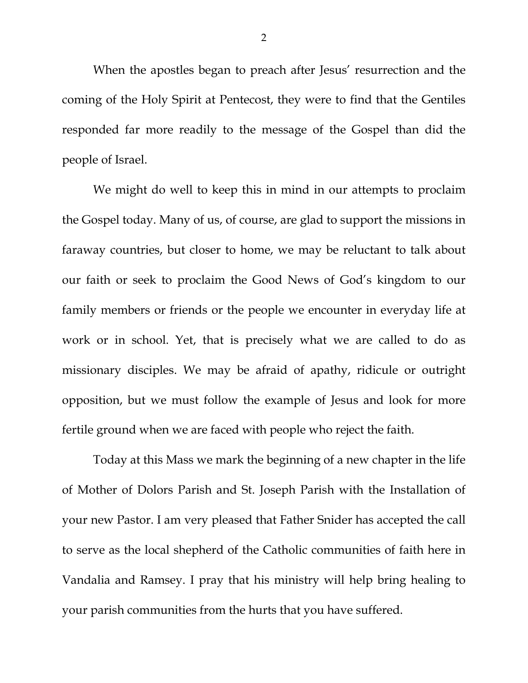When the apostles began to preach after Jesus' resurrection and the coming of the Holy Spirit at Pentecost, they were to find that the Gentiles responded far more readily to the message of the Gospel than did the people of Israel.

We might do well to keep this in mind in our attempts to proclaim the Gospel today. Many of us, of course, are glad to support the missions in faraway countries, but closer to home, we may be reluctant to talk about our faith or seek to proclaim the Good News of God's kingdom to our family members or friends or the people we encounter in everyday life at work or in school. Yet, that is precisely what we are called to do as missionary disciples. We may be afraid of apathy, ridicule or outright opposition, but we must follow the example of Jesus and look for more fertile ground when we are faced with people who reject the faith.

Today at this Mass we mark the beginning of a new chapter in the life of Mother of Dolors Parish and St. Joseph Parish with the Installation of your new Pastor. I am very pleased that Father Snider has accepted the call to serve as the local shepherd of the Catholic communities of faith here in Vandalia and Ramsey. I pray that his ministry will help bring healing to your parish communities from the hurts that you have suffered.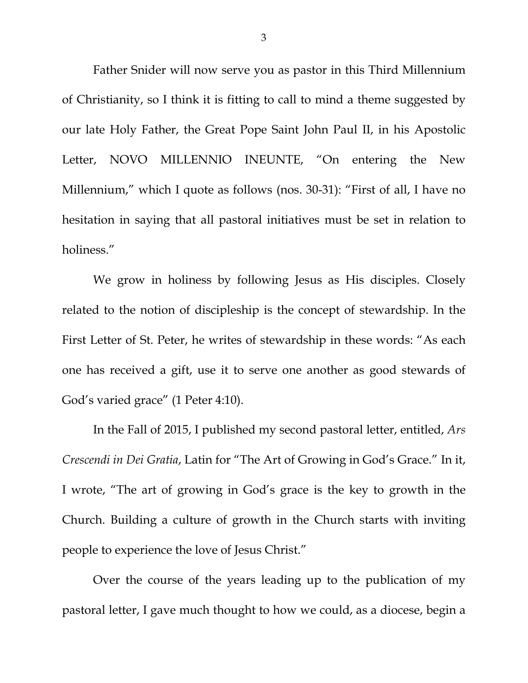Father Snider will now serve you as pastor in this Third Millennium of Christianity, so I think it is fitting to call to mind a theme suggested by our late Holy Father, the Great Pope Saint John Paul II, in his Apostolic Letter, NOVO MILLENNIO INEUNTE, "On entering the New Millennium," which I quote as follows (nos. 30-31): "First of all, I have no hesitation in saying that all pastoral initiatives must be set in relation to holiness."

We grow in holiness by following Jesus as His disciples. Closely related to the notion of discipleship is the concept of stewardship. In the First Letter of St. Peter, he writes of stewardship in these words: "As each one has received a gift, use it to serve one another as good stewards of God's varied grace" (1 Peter 4:10).

<span id="page-2-0"></span>In the Fall of 2015, I published my second pastoral letter, entitled, *Ars Crescendi in Dei Gratia*, Latin for "The Art of Growing in God's Grace." In it, I wrote, "The art of growing in God's grace is the key to growth in the Church. Building a culture of growth in the Church starts with inviting people to experience the love of Jesus Christ."

Over the course of the years leading up to the publication of my pastoral letter, I gave much thought to how we could, as a diocese, begin a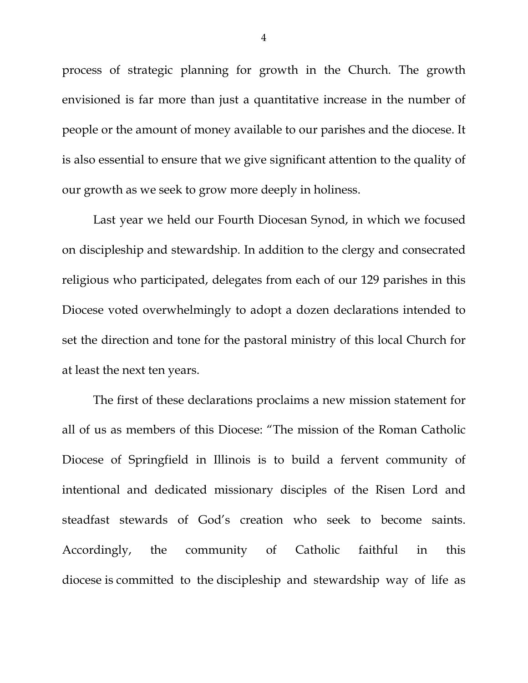process of strategic planning for growth in the Church. The growth envisioned is far more than just a quantitative increase in the number of people or the amount of money available to our parishes and the diocese. It is also essential to ensure that we give significant attention to the quality of our growth as we seek to grow more deeply in holiness.

Last year we held our Fourth Diocesan Synod, in which we focused on discipleship and stewardship. In addition to the clergy and consecrated religious who participated, delegates from each of our 129 parishes in this Diocese voted overwhelmingly to adopt a dozen declarations intended to set the direction and tone for the pastoral ministry of this local Church for at least the next ten years.

The first of these declarations proclaims a new mission statement for all of us as members of this Diocese: "The mission of the Roman Catholic Diocese of Springfield in Illinois is to build a fervent community of intentional and dedicated missionary disciples of the Risen Lord and steadfast stewards of God's creation who seek to become saints. Accordingly, the community of Catholic faithful in this diocese is committed to the discipleship and stewardship way of life as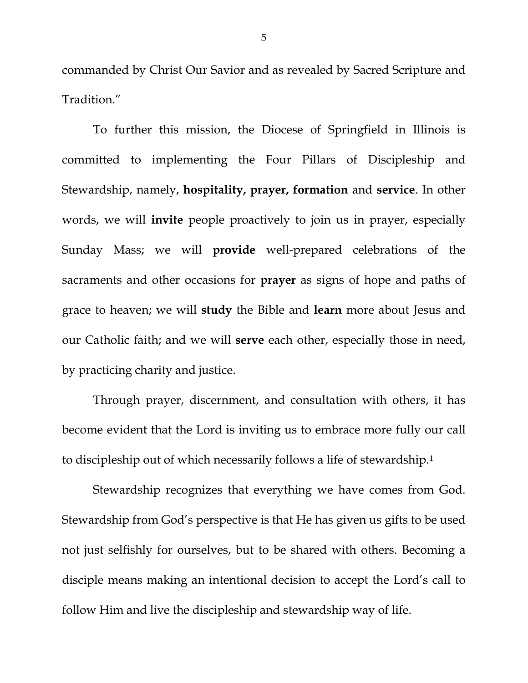commanded by Christ Our Savior and as revealed by Sacred Scripture and Tradition."

To further this mission, the Diocese of Springfield in Illinois is committed to implementing the Four Pillars of Discipleship and Stewardship, namely, **hospitality, prayer, formation** and **service**. In other words, we will **invite** people proactively to join us in prayer, especially Sunday Mass; we will **provide** well-prepared celebrations of the sacraments and other occasions for **prayer** as signs of hope and paths of grace to heaven; we will **study** the Bible and **learn** more about Jesus and our Catholic faith; and we will **serve** each other, especially those in need, by practicing charity and justice.

Through prayer, discernment, and consultation with others, it has become evident that the Lord is inviting us to embrace more fully our call to discipleship out of which necessarily follows a life of stewardship.[1](#page-2-0)

Stewardship recognizes that everything we have comes from God. Stewardship from God's perspective is that He has given us gifts to be used not just selfishly for ourselves, but to be shared with others. Becoming a disciple means making an intentional decision to accept the Lord's call to follow Him and live the discipleship and stewardship way of life.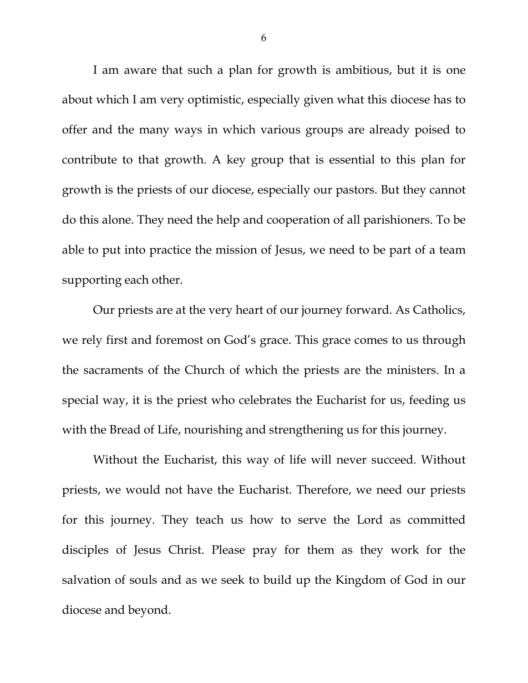I am aware that such a plan for growth is ambitious, but it is one about which I am very optimistic, especially given what this diocese has to offer and the many ways in which various groups are already poised to contribute to that growth. A key group that is essential to this plan for growth is the priests of our diocese, especially our pastors. But they cannot do this alone. They need the help and cooperation of all parishioners. To be able to put into practice the mission of Jesus, we need to be part of a team supporting each other.

Our priests are at the very heart of our journey forward. As Catholics, we rely first and foremost on God's grace. This grace comes to us through the sacraments of the Church of which the priests are the ministers. In a special way, it is the priest who celebrates the Eucharist for us, feeding us with the Bread of Life, nourishing and strengthening us for this journey.

Without the Eucharist, this way of life will never succeed. Without priests, we would not have the Eucharist. Therefore, we need our priests for this journey. They teach us how to serve the Lord as committed disciples of Jesus Christ. Please pray for them as they work for the salvation of souls and as we seek to build up the Kingdom of God in our diocese and beyond.

6